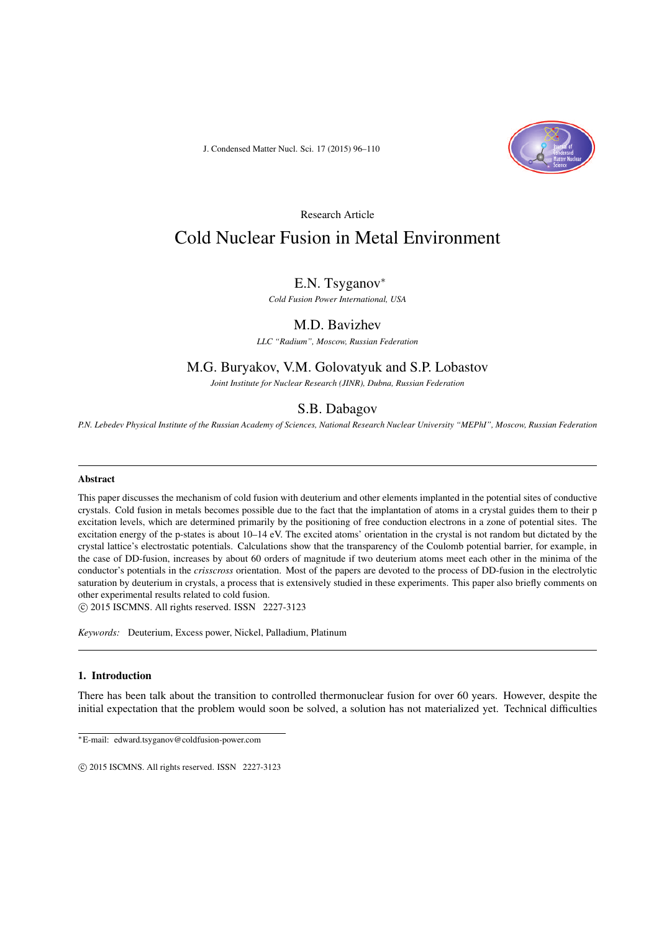J. Condensed Matter Nucl. Sci. 17 (2015) 96–110



Research Article

# Cold Nuclear Fusion in Metal Environment

# E.N. Tsyganov<sup>∗</sup>

*Cold Fusion Power International, USA*

# M.D. Bavizhev

*LLC "Radium", Moscow, Russian Federation*

# M.G. Buryakov, V.M. Golovatyuk and S.P. Lobastov

*Joint Institute for Nuclear Research (JINR), Dubna, Russian Federation*

# S.B. Dabagov

*P.N. Lebedev Physical Institute of the Russian Academy of Sciences, National Research Nuclear University "MEPhI", Moscow, Russian Federation*

#### Abstract

This paper discusses the mechanism of cold fusion with deuterium and other elements implanted in the potential sites of conductive crystals. Cold fusion in metals becomes possible due to the fact that the implantation of atoms in a crystal guides them to their p excitation levels, which are determined primarily by the positioning of free conduction electrons in a zone of potential sites. The excitation energy of the p-states is about 10–14 eV. The excited atoms' orientation in the crystal is not random but dictated by the crystal lattice's electrostatic potentials. Calculations show that the transparency of the Coulomb potential barrier, for example, in the case of DD-fusion, increases by about 60 orders of magnitude if two deuterium atoms meet each other in the minima of the conductor's potentials in the *crisscross* orientation. Most of the papers are devoted to the process of DD-fusion in the electrolytic saturation by deuterium in crystals, a process that is extensively studied in these experiments. This paper also briefly comments on other experimental results related to cold fusion.

 $\circ$  2015 ISCMNS. All rights reserved. ISSN 2227-3123

*Keywords:* Deuterium, Excess power, Nickel, Palladium, Platinum

## 1. Introduction

There has been talk about the transition to controlled thermonuclear fusion for over 60 years. However, despite the initial expectation that the problem would soon be solved, a solution has not materialized yet. Technical difficulties

∗E-mail: edward.tsyganov@coldfusion-power.com

 $\odot$  2015 ISCMNS. All rights reserved. ISSN 2227-3123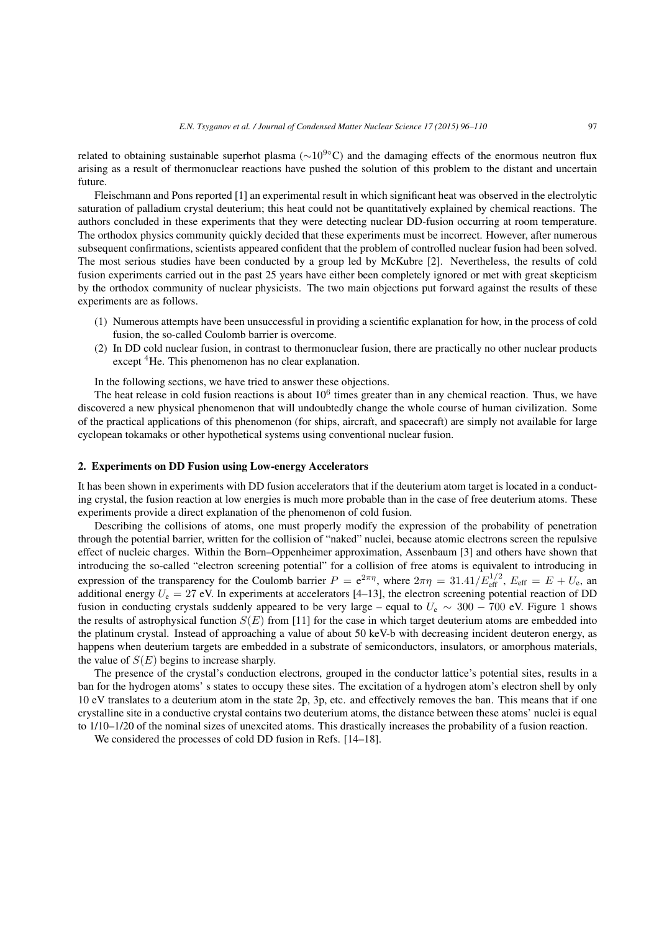related to obtaining sustainable superhot plasma ( $\sim 10^{9}$ °C) and the damaging effects of the enormous neutron flux arising as a result of thermonuclear reactions have pushed the solution of this problem to the distant and uncertain future.

Fleischmann and Pons reported [1] an experimental result in which significant heat was observed in the electrolytic saturation of palladium crystal deuterium; this heat could not be quantitatively explained by chemical reactions. The authors concluded in these experiments that they were detecting nuclear DD-fusion occurring at room temperature. The orthodox physics community quickly decided that these experiments must be incorrect. However, after numerous subsequent confirmations, scientists appeared confident that the problem of controlled nuclear fusion had been solved. The most serious studies have been conducted by a group led by McKubre [2]. Nevertheless, the results of cold fusion experiments carried out in the past 25 years have either been completely ignored or met with great skepticism by the orthodox community of nuclear physicists. The two main objections put forward against the results of these experiments are as follows.

- (1) Numerous attempts have been unsuccessful in providing a scientific explanation for how, in the process of cold fusion, the so-called Coulomb barrier is overcome.
- (2) In DD cold nuclear fusion, in contrast to thermonuclear fusion, there are practically no other nuclear products except <sup>4</sup>He. This phenomenon has no clear explanation.

In the following sections, we have tried to answer these objections.

The heat release in cold fusion reactions is about  $10<sup>6</sup>$  times greater than in any chemical reaction. Thus, we have discovered a new physical phenomenon that will undoubtedly change the whole course of human civilization. Some of the practical applications of this phenomenon (for ships, aircraft, and spacecraft) are simply not available for large cyclopean tokamaks or other hypothetical systems using conventional nuclear fusion.

## 2. Experiments on DD Fusion using Low-energy Accelerators

It has been shown in experiments with DD fusion accelerators that if the deuterium atom target is located in a conducting crystal, the fusion reaction at low energies is much more probable than in the case of free deuterium atoms. These experiments provide a direct explanation of the phenomenon of cold fusion.

Describing the collisions of atoms, one must properly modify the expression of the probability of penetration through the potential barrier, written for the collision of "naked" nuclei, because atomic electrons screen the repulsive effect of nucleic charges. Within the Born–Oppenheimer approximation, Assenbaum [3] and others have shown that introducing the so-called "electron screening potential" for a collision of free atoms is equivalent to introducing in expression of the transparency for the Coulomb barrier  $P = e^{2\pi\eta}$ , where  $2\pi\eta = 31.41/E_{\text{eff}}^{1/2}$ ,  $E_{\text{eff}} = E + U_e$ , an additional energy  $U_e = 27$  eV. In experiments at accelerators [4–13], the electron screening potential reaction of DD fusion in conducting crystals suddenly appeared to be very large – equal to  $U_e \sim 300 - 700$  eV. Figure 1 shows the results of astrophysical function  $S(E)$  from [11] for the case in which target deuterium atoms are embedded into the platinum crystal. Instead of approaching a value of about 50 keV-b with decreasing incident deuteron energy, as happens when deuterium targets are embedded in a substrate of semiconductors, insulators, or amorphous materials, the value of  $S(E)$  begins to increase sharply.

The presence of the crystal's conduction electrons, grouped in the conductor lattice's potential sites, results in a ban for the hydrogen atoms' s states to occupy these sites. The excitation of a hydrogen atom's electron shell by only 10 eV translates to a deuterium atom in the state 2p, 3p, etc. and effectively removes the ban. This means that if one crystalline site in a conductive crystal contains two deuterium atoms, the distance between these atoms' nuclei is equal to 1/10–1/20 of the nominal sizes of unexcited atoms. This drastically increases the probability of a fusion reaction.

We considered the processes of cold DD fusion in Refs. [14–18].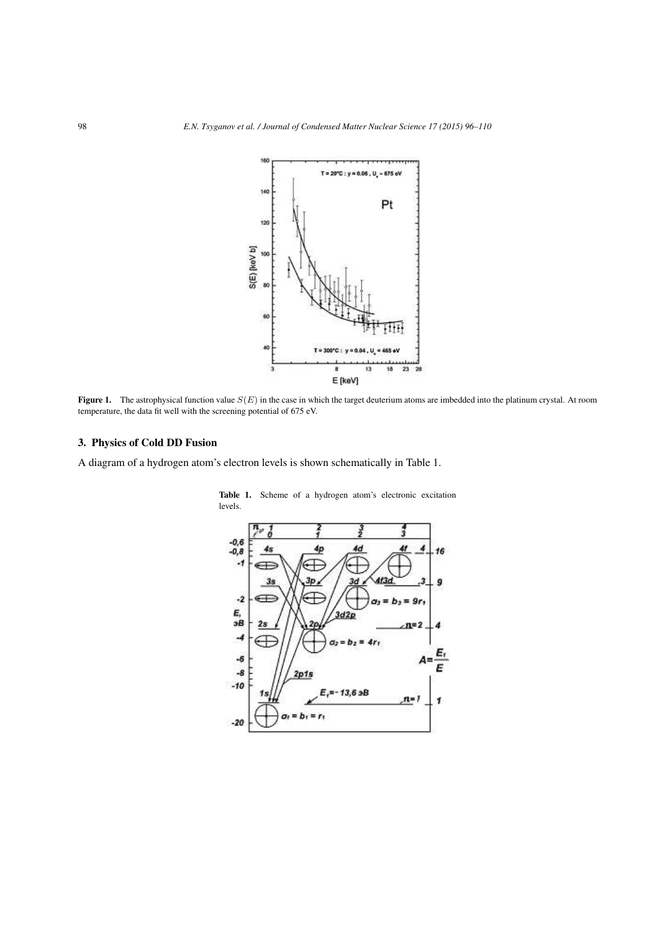

Figure 1. The astrophysical function value  $S(E)$  in the case in which the target deuterium atoms are imbedded into the platinum crystal. At room temperature, the data fit well with the screening potential of 675 eV.

# 3. Physics of Cold DD Fusion

A diagram of a hydrogen atom's electron levels is shown schematically in Table 1.



Table 1. Scheme of a hydrogen atom's electronic excitation levels.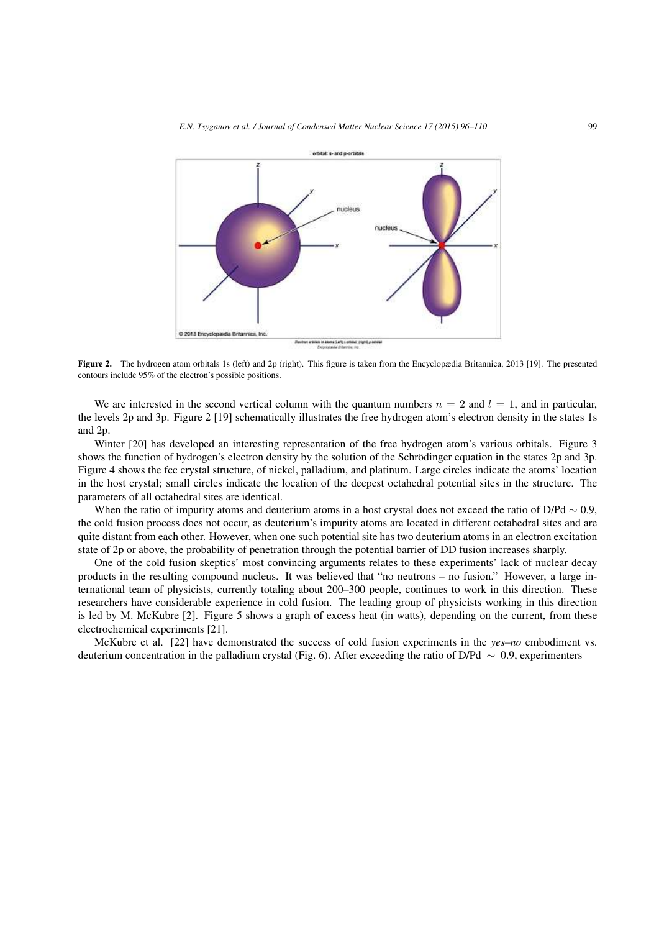

Figure 2. The hydrogen atom orbitals 1s (left) and 2p (right). This figure is taken from the Encyclopædia Britannica, 2013 [19]. The presented contours include 95% of the electron's possible positions.

We are interested in the second vertical column with the quantum numbers  $n = 2$  and  $l = 1$ , and in particular, the levels 2p and 3p. Figure 2 [19] schematically illustrates the free hydrogen atom's electron density in the states 1s and 2p.

Winter [20] has developed an interesting representation of the free hydrogen atom's various orbitals. Figure 3 shows the function of hydrogen's electron density by the solution of the Schrödinger equation in the states 2p and 3p. Figure 4 shows the fcc crystal structure, of nickel, palladium, and platinum. Large circles indicate the atoms' location in the host crystal; small circles indicate the location of the deepest octahedral potential sites in the structure. The parameters of all octahedral sites are identical.

When the ratio of impurity atoms and deuterium atoms in a host crystal does not exceed the ratio of D/Pd  $\sim 0.9$ , the cold fusion process does not occur, as deuterium's impurity atoms are located in different octahedral sites and are quite distant from each other. However, when one such potential site has two deuterium atoms in an electron excitation state of 2p or above, the probability of penetration through the potential barrier of DD fusion increases sharply.

One of the cold fusion skeptics' most convincing arguments relates to these experiments' lack of nuclear decay products in the resulting compound nucleus. It was believed that "no neutrons – no fusion." However, a large international team of physicists, currently totaling about 200–300 people, continues to work in this direction. These researchers have considerable experience in cold fusion. The leading group of physicists working in this direction is led by M. McKubre [2]. Figure 5 shows a graph of excess heat (in watts), depending on the current, from these electrochemical experiments [21].

McKubre et al. [22] have demonstrated the success of cold fusion experiments in the *yes–no* embodiment vs. deuterium concentration in the palladium crystal (Fig. 6). After exceeding the ratio of D/Pd ∼ 0.9, experimenters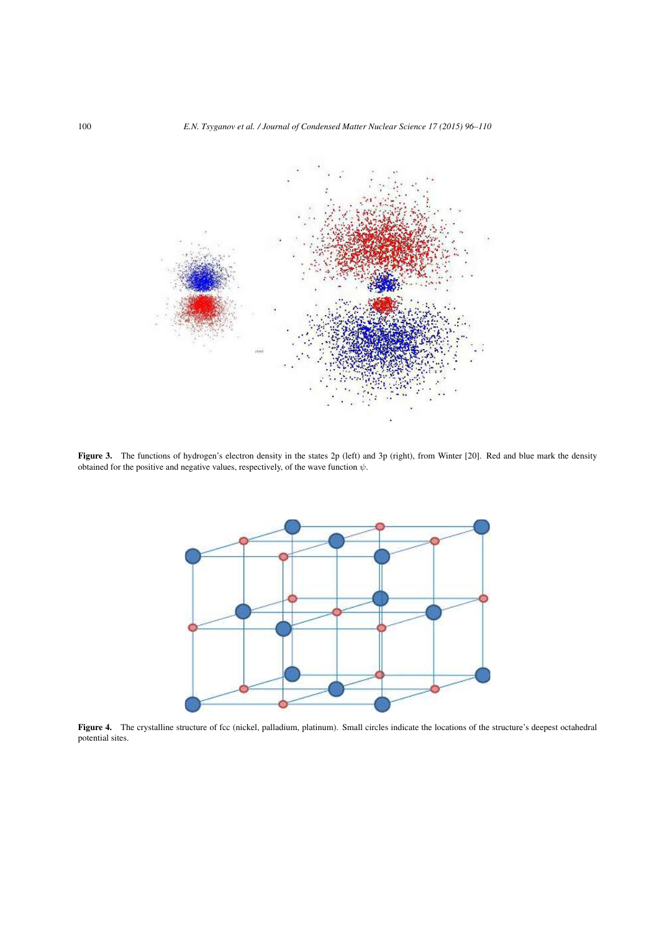

Figure 3. The functions of hydrogen's electron density in the states 2p (left) and 3p (right), from Winter [20]. Red and blue mark the density obtained for the positive and negative values, respectively, of the wave function  $\psi$ .



Figure 4. The crystalline structure of fcc (nickel, palladium, platinum). Small circles indicate the locations of the structure's deepest octahedral potential sites.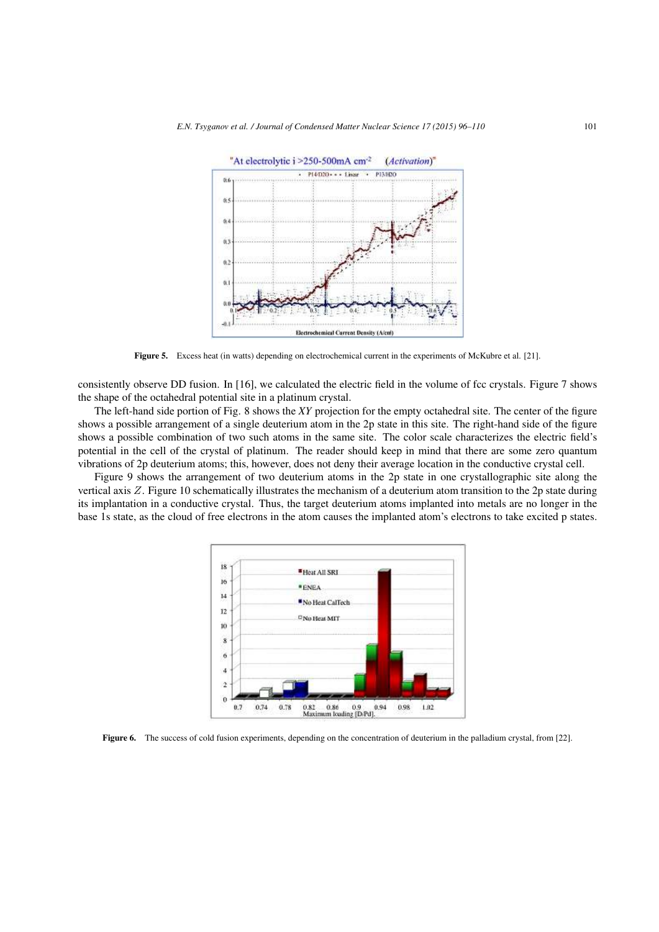

Figure 5. Excess heat (in watts) depending on electrochemical current in the experiments of McKubre et al. [21].

consistently observe DD fusion. In [16], we calculated the electric field in the volume of fcc crystals. Figure 7 shows the shape of the octahedral potential site in a platinum crystal.

The left-hand side portion of Fig. 8 shows the *XY* projection for the empty octahedral site. The center of the figure shows a possible arrangement of a single deuterium atom in the 2p state in this site. The right-hand side of the figure shows a possible combination of two such atoms in the same site. The color scale characterizes the electric field's potential in the cell of the crystal of platinum. The reader should keep in mind that there are some zero quantum vibrations of 2p deuterium atoms; this, however, does not deny their average location in the conductive crystal cell.

Figure 9 shows the arrangement of two deuterium atoms in the 2p state in one crystallographic site along the vertical axis Z. Figure 10 schematically illustrates the mechanism of a deuterium atom transition to the 2p state during its implantation in a conductive crystal. Thus, the target deuterium atoms implanted into metals are no longer in the base 1s state, as the cloud of free electrons in the atom causes the implanted atom's electrons to take excited p states.



Figure 6. The success of cold fusion experiments, depending on the concentration of deuterium in the palladium crystal, from [22].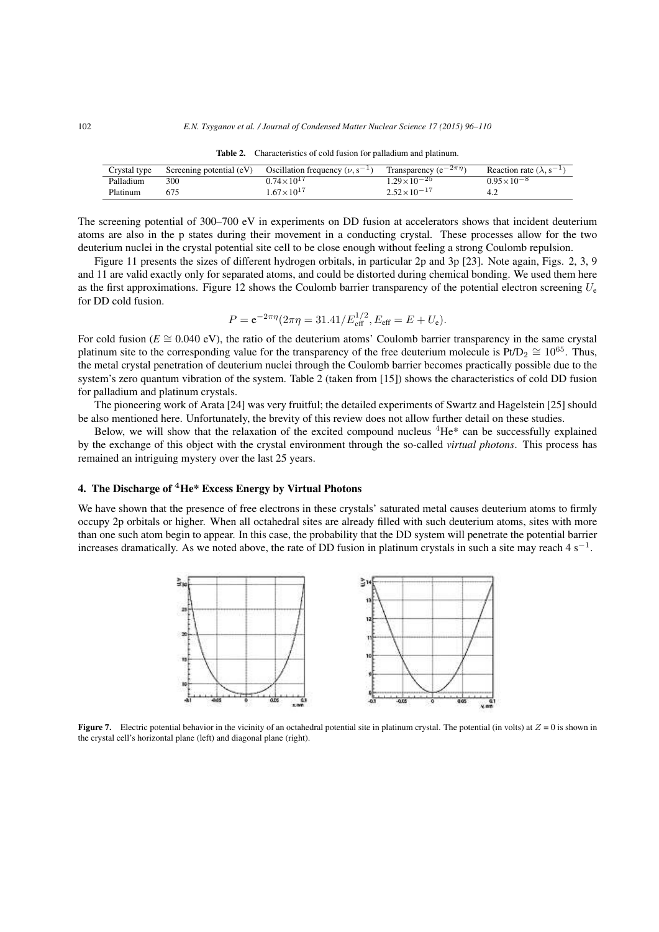| Crystal type | Screening potential (eV) | Oscillation frequency ( $\nu$ , $s^{-1}$ ) | Transparency ( $e^{-2\pi\eta}$ ) | Reaction rate $(\lambda, s^{-1})$ |
|--------------|--------------------------|--------------------------------------------|----------------------------------|-----------------------------------|
| Palladium    | 300                      | $0.74 \times 10^{17}$                      | $1.29 \times 10^{-25}$           | $0.95\times10^{-8}$               |
| Platinum     |                          | $1.67 \times 10^{17}$                      | $2.52 \times 10^{-17}$           |                                   |

Table 2. Characteristics of cold fusion for palladium and platinum.

The screening potential of 300–700 eV in experiments on DD fusion at accelerators shows that incident deuterium atoms are also in the p states during their movement in a conducting crystal. These processes allow for the two deuterium nuclei in the crystal potential site cell to be close enough without feeling a strong Coulomb repulsion.

Figure 11 presents the sizes of different hydrogen orbitals, in particular 2p and 3p [23]. Note again, Figs. 2, 3, 9 and 11 are valid exactly only for separated atoms, and could be distorted during chemical bonding. We used them here as the first approximations. Figure 12 shows the Coulomb barrier transparency of the potential electron screening  $U_c$ for DD cold fusion.

$$
P = e^{-2\pi\eta} (2\pi\eta = 31.41/E_{\rm eff}^{1/2}, E_{\rm eff} = E + U_{\rm e}).
$$

For cold fusion ( $E \cong 0.040$  eV), the ratio of the deuterium atoms' Coulomb barrier transparency in the same crystal platinum site to the corresponding value for the transparency of the free deuterium molecule is Pt/D<sub>2</sub>  $\cong 10^{65}$ . Thus, the metal crystal penetration of deuterium nuclei through the Coulomb barrier becomes practically possible due to the system's zero quantum vibration of the system. Table 2 (taken from [15]) shows the characteristics of cold DD fusion for palladium and platinum crystals.

The pioneering work of Arata [24] was very fruitful; the detailed experiments of Swartz and Hagelstein [25] should be also mentioned here. Unfortunately, the brevity of this review does not allow further detail on these studies.

Below, we will show that the relaxation of the excited compound nucleus  ${}^{4}He^{*}$  can be successfully explained by the exchange of this object with the crystal environment through the so-called *virtual photons*. This process has remained an intriguing mystery over the last 25 years.

#### 4. The Discharge of <sup>4</sup>He\* Excess Energy by Virtual Photons

We have shown that the presence of free electrons in these crystals' saturated metal causes deuterium atoms to firmly occupy 2p orbitals or higher. When all octahedral sites are already filled with such deuterium atoms, sites with more than one such atom begin to appear. In this case, the probability that the DD system will penetrate the potential barrier increases dramatically. As we noted above, the rate of DD fusion in platinum crystals in such a site may reach  $4 \text{ s}^{-1}$ .



**Figure 7.** Electric potential behavior in the vicinity of an octahedral potential site in platinum crystal. The potential (in volts) at  $Z = 0$  is shown in the crystal cell's horizontal plane (left) and diagonal plane (right).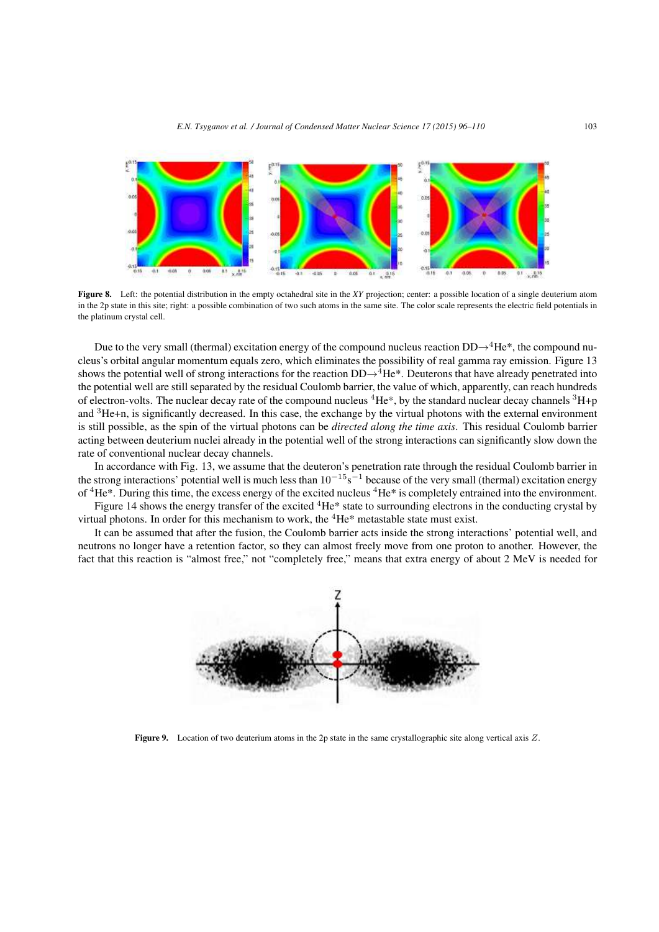

Figure 8. Left: the potential distribution in the empty octahedral site in the *XY* projection; center: a possible location of a single deuterium atom in the 2p state in this site; right: a possible combination of two such atoms in the same site. The color scale represents the electric field potentials in the platinum crystal cell.

Due to the very small (thermal) excitation energy of the compound nucleus reaction  $DD\rightarrow^4He^*$ , the compound nucleus's orbital angular momentum equals zero, which eliminates the possibility of real gamma ray emission. Figure 13 shows the potential well of strong interactions for the reaction  $DD\rightarrow^4He^*$ . Deuterons that have already penetrated into the potential well are still separated by the residual Coulomb barrier, the value of which, apparently, can reach hundreds of electron-volts. The nuclear decay rate of the compound nucleus  ${}^{4}He^*$ , by the standard nuclear decay channels  ${}^{3}He^*$ and <sup>3</sup>He+n, is significantly decreased. In this case, the exchange by the virtual photons with the external environment is still possible, as the spin of the virtual photons can be *directed along the time axis*. This residual Coulomb barrier acting between deuterium nuclei already in the potential well of the strong interactions can significantly slow down the rate of conventional nuclear decay channels.

In accordance with Fig. 13, we assume that the deuteron's penetration rate through the residual Coulomb barrier in the strong interactions' potential well is much less than  $10^{-15}$ s<sup>-1</sup> because of the very small (thermal) excitation energy of  ${}^{4}He*$ . During this time, the excess energy of the excited nucleus  ${}^{4}He*$  is completely entrained into the environment. Figure 14 shows the energy transfer of the excited  ${}^{4}$ He\* state to surrounding electrons in the conducting crystal by

virtual photons. In order for this mechanism to work, the  ${}^{4}$ He\* metastable state must exist.

It can be assumed that after the fusion, the Coulomb barrier acts inside the strong interactions' potential well, and neutrons no longer have a retention factor, so they can almost freely move from one proton to another. However, the fact that this reaction is "almost free," not "completely free," means that extra energy of about 2 MeV is needed for



Figure 9. Location of two deuterium atoms in the 2p state in the same crystallographic site along vertical axis Z.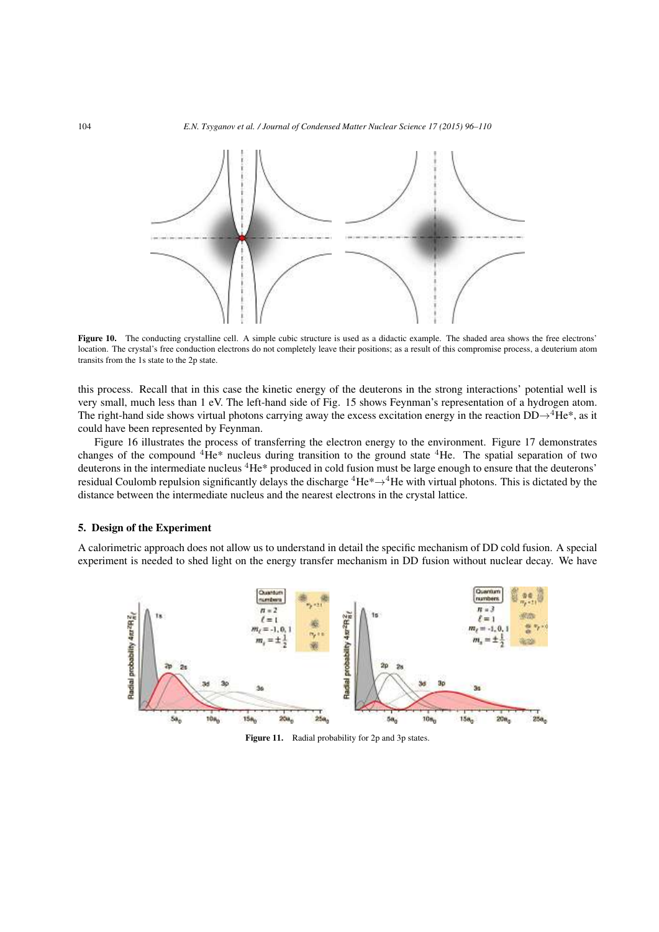

Figure 10. The conducting crystalline cell. A simple cubic structure is used as a didactic example. The shaded area shows the free electrons' location. The crystal's free conduction electrons do not completely leave their positions; as a result of this compromise process, a deuterium atom transits from the 1s state to the 2p state.

this process. Recall that in this case the kinetic energy of the deuterons in the strong interactions' potential well is very small, much less than 1 eV. The left-hand side of Fig. 15 shows Feynman's representation of a hydrogen atom. The right-hand side shows virtual photons carrying away the excess excitation energy in the reaction  $DD\rightarrow^4He^*$ , as it could have been represented by Feynman.

Figure 16 illustrates the process of transferring the electron energy to the environment. Figure 17 demonstrates changes of the compound <sup>4</sup>He\* nucleus during transition to the ground state <sup>4</sup>He. The spatial separation of two deuterons in the intermediate nucleus <sup>4</sup>He\* produced in cold fusion must be large enough to ensure that the deuterons' residual Coulomb repulsion significantly delays the discharge  ${}^4He^* \rightarrow {}^4He$  with virtual photons. This is dictated by the distance between the intermediate nucleus and the nearest electrons in the crystal lattice.

### 5. Design of the Experiment

A calorimetric approach does not allow us to understand in detail the specific mechanism of DD cold fusion. A special experiment is needed to shed light on the energy transfer mechanism in DD fusion without nuclear decay. We have



Figure 11. Radial probability for 2p and 3p states.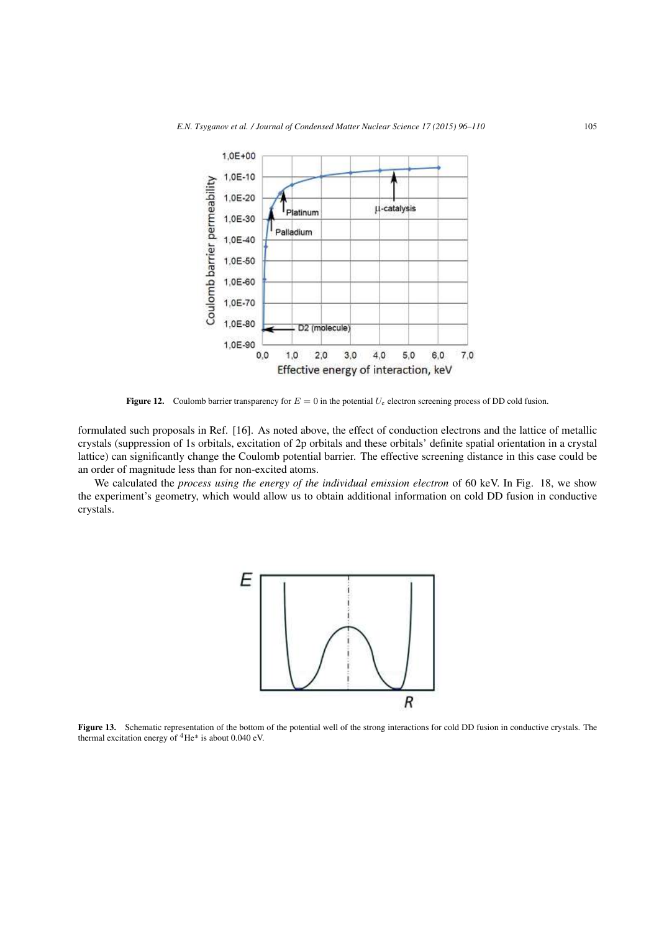

**Figure 12.** Coulomb barrier transparency for  $E = 0$  in the potential  $U_e$  electron screening process of DD cold fusion.

formulated such proposals in Ref. [16]. As noted above, the effect of conduction electrons and the lattice of metallic crystals (suppression of 1s orbitals, excitation of 2p orbitals and these orbitals' definite spatial orientation in a crystal lattice) can significantly change the Coulomb potential barrier. The effective screening distance in this case could be an order of magnitude less than for non-excited atoms.

We calculated the *process using the energy of the individual emission electron* of 60 keV. In Fig. 18, we show the experiment's geometry, which would allow us to obtain additional information on cold DD fusion in conductive crystals.



Figure 13. Schematic representation of the bottom of the potential well of the strong interactions for cold DD fusion in conductive crystals. The thermal excitation energy of  ${}^{4}$ He\* is about 0.040 eV.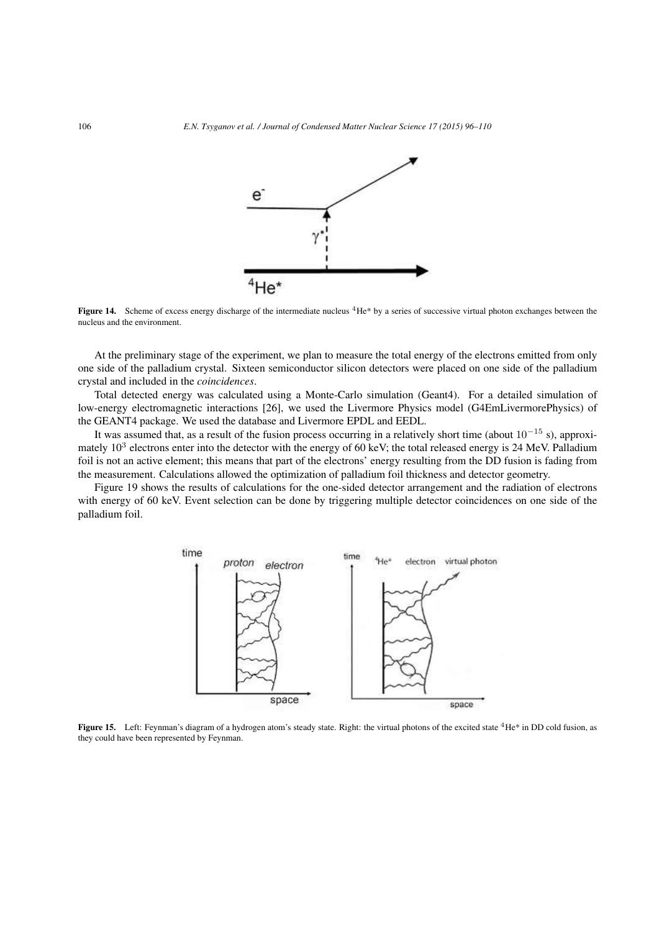

**Figure 14.** Scheme of excess energy discharge of the intermediate nucleus  ${}^4$ He\* by a series of successive virtual photon exchanges between the nucleus and the environment.

At the preliminary stage of the experiment, we plan to measure the total energy of the electrons emitted from only one side of the palladium crystal. Sixteen semiconductor silicon detectors were placed on one side of the palladium crystal and included in the *coincidences*.

Total detected energy was calculated using a Monte-Carlo simulation (Geant4). For a detailed simulation of low-energy electromagnetic interactions [26], we used the Livermore Physics model (G4EmLivermorePhysics) of the GEANT4 package. We used the database and Livermore EPDL and EEDL.

It was assumed that, as a result of the fusion process occurring in a relatively short time (about  $10^{-15}$  s), approximately  $10<sup>3</sup>$  electrons enter into the detector with the energy of 60 keV; the total released energy is 24 MeV. Palladium foil is not an active element; this means that part of the electrons' energy resulting from the DD fusion is fading from the measurement. Calculations allowed the optimization of palladium foil thickness and detector geometry.

Figure 19 shows the results of calculations for the one-sided detector arrangement and the radiation of electrons with energy of 60 keV. Event selection can be done by triggering multiple detector coincidences on one side of the palladium foil.



Figure 15. Left: Feynman's diagram of a hydrogen atom's steady state. Right: the virtual photons of the excited state <sup>4</sup>He\* in DD cold fusion, as they could have been represented by Feynman.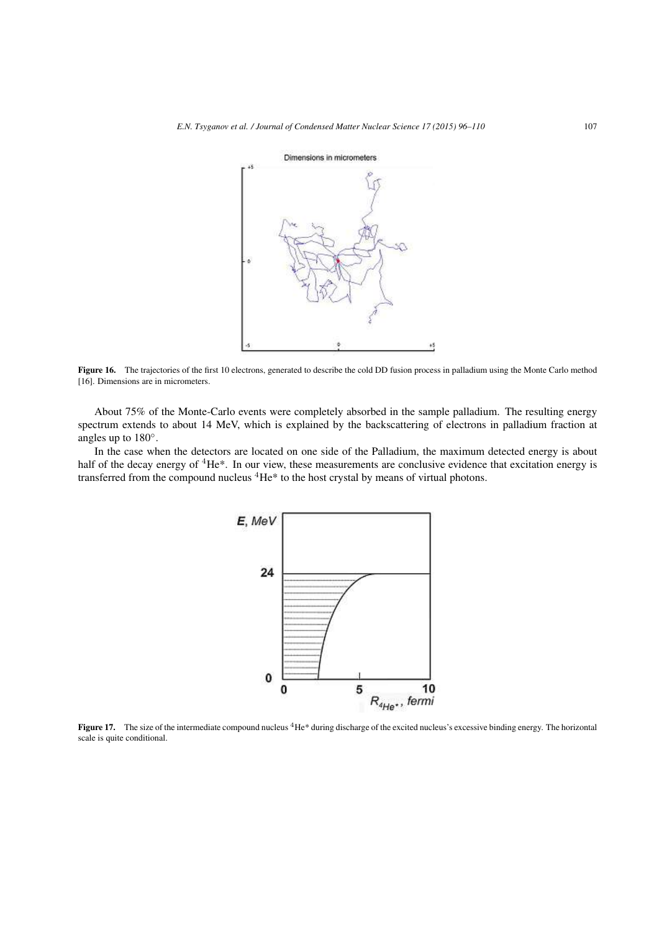

Figure 16. The trajectories of the first 10 electrons, generated to describe the cold DD fusion process in palladium using the Monte Carlo method [16]. Dimensions are in micrometers.

About 75% of the Monte-Carlo events were completely absorbed in the sample palladium. The resulting energy spectrum extends to about 14 MeV, which is explained by the backscattering of electrons in palladium fraction at angles up to 180◦.

In the case when the detectors are located on one side of the Palladium, the maximum detected energy is about half of the decay energy of <sup>4</sup>He\*. In our view, these measurements are conclusive evidence that excitation energy is transferred from the compound nucleus <sup>4</sup>He\* to the host crystal by means of virtual photons.



Figure 17. The size of the intermediate compound nucleus  ${}^{4}$ He\* during discharge of the excited nucleus's excessive binding energy. The horizontal scale is quite conditional.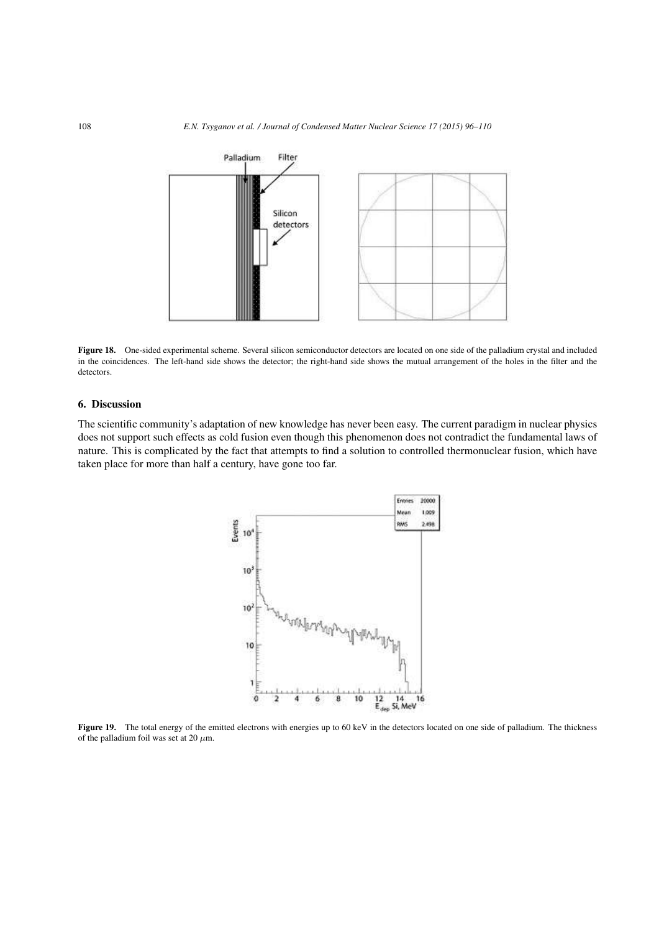

Figure 18. One-sided experimental scheme. Several silicon semiconductor detectors are located on one side of the palladium crystal and included in the coincidences. The left-hand side shows the detector; the right-hand side shows the mutual arrangement of the holes in the filter and the detectors.

## 6. Discussion

The scientific community's adaptation of new knowledge has never been easy. The current paradigm in nuclear physics does not support such effects as cold fusion even though this phenomenon does not contradict the fundamental laws of nature. This is complicated by the fact that attempts to find a solution to controlled thermonuclear fusion, which have taken place for more than half a century, have gone too far.



Figure 19. The total energy of the emitted electrons with energies up to 60 keV in the detectors located on one side of palladium. The thickness of the palladium foil was set at 20  $\mu$ m.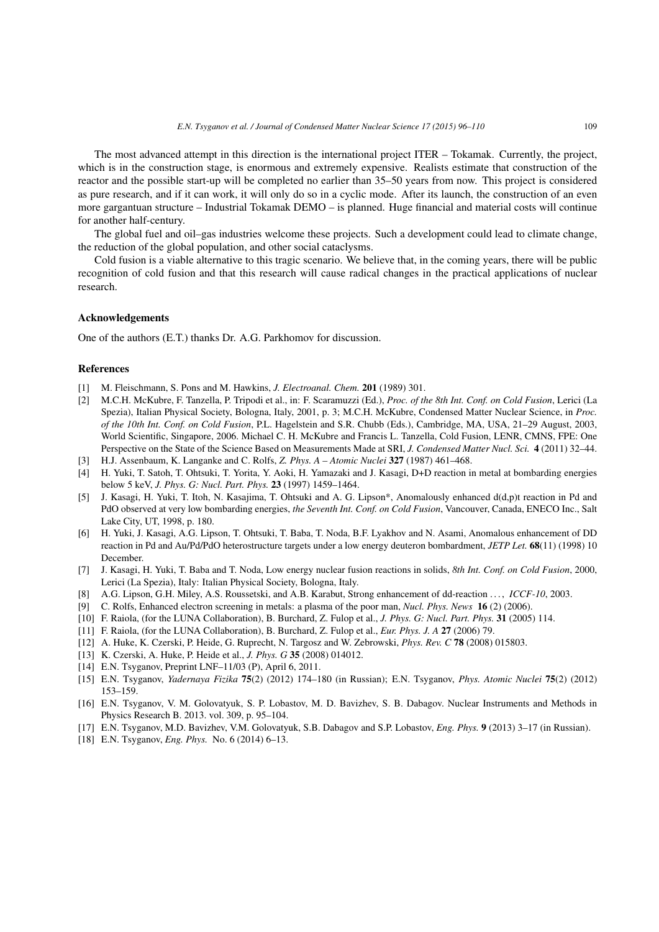The most advanced attempt in this direction is the international project ITER – Tokamak. Currently, the project, which is in the construction stage, is enormous and extremely expensive. Realists estimate that construction of the reactor and the possible start-up will be completed no earlier than 35–50 years from now. This project is considered as pure research, and if it can work, it will only do so in a cyclic mode. After its launch, the construction of an even more gargantuan structure – Industrial Tokamak DEMO – is planned. Huge financial and material costs will continue for another half-century.

The global fuel and oil–gas industries welcome these projects. Such a development could lead to climate change, the reduction of the global population, and other social cataclysms.

Cold fusion is a viable alternative to this tragic scenario. We believe that, in the coming years, there will be public recognition of cold fusion and that this research will cause radical changes in the practical applications of nuclear research.

## Acknowledgements

One of the authors (E.T.) thanks Dr. A.G. Parkhomov for discussion.

#### References

- [1] M. Fleischmann, S. Pons and M. Hawkins, *J. Electroanal. Chem.* 201 (1989) 301.
- [2] M.C.H. McKubre, F. Tanzella, P. Tripodi et al., in: F. Scaramuzzi (Ed.), *Proc. of the 8th Int. Conf. on Cold Fusion*, Lerici (La Spezia), Italian Physical Society, Bologna, Italy, 2001, p. 3; M.C.H. McKubre, Condensed Matter Nuclear Science, in *Proc. of the 10th Int. Conf. on Cold Fusion*, P.L. Hagelstein and S.R. Chubb (Eds.), Cambridge, MA, USA, 21–29 August, 2003, World Scientific, Singapore, 2006. Michael C. H. McKubre and Francis L. Tanzella, Cold Fusion, LENR, CMNS, FPE: One Perspective on the State of the Science Based on Measurements Made at SRI, *J. Condensed Matter Nucl. Sci.* 4 (2011) 32–44.
- [3] H.J. Assenbaum, K. Langanke and C. Rolfs, *Z. Phys. A Atomic Nuclei* 327 (1987) 461–468.
- [4] H. Yuki, T. Satoh, T. Ohtsuki, T. Yorita, Y. Aoki, H. Yamazaki and J. Kasagi, D+D reaction in metal at bombarding energies below 5 keV, *J. Phys. G: Nucl. Part. Phys.* 23 (1997) 1459–1464.
- [5] J. Kasagi, H. Yuki, T. Itoh, N. Kasajima, T. Ohtsuki and A. G. Lipson\*, Anomalously enhanced d(d,p)t reaction in Pd and PdO observed at very low bombarding energies, *the Seventh Int. Conf. on Cold Fusion*, Vancouver, Canada, ENECO Inc., Salt Lake City, UT, 1998, p. 180.
- [6] H. Yuki, J. Kasagi, A.G. Lipson, T. Ohtsuki, T. Baba, T. Noda, B.F. Lyakhov and N. Asami, Anomalous enhancement of DD reaction in Pd and Au/Pd/PdO heterostructure targets under a low energy deuteron bombardment, *JETP Let.* 68(11) (1998) 10 December.
- [7] J. Kasagi, H. Yuki, T. Baba and T. Noda, Low energy nuclear fusion reactions in solids, *8th Int. Conf. on Cold Fusion*, 2000, Lerici (La Spezia), Italy: Italian Physical Society, Bologna, Italy.
- [8] A.G. Lipson, G.H. Miley, A.S. Roussetski, and A.B. Karabut, Strong enhancement of dd-reaction . . . , *ICCF-10*, 2003.
- [9] C. Rolfs, Enhanced electron screening in metals: a plasma of the poor man, *Nucl. Phys. News* 16 (2) (2006).
- [10] F. Raiola, (for the LUNA Collaboration), B. Burchard, Z. Fulop et al., *J. Phys. G: Nucl. Part. Phys.* 31 (2005) 114.
- [11] F. Raiola, (for the LUNA Collaboration), B. Burchard, Z. Fulop et al., *Eur. Phys. J. A* 27 (2006) 79.
- [12] A. Huke, K. Czerski, P. Heide, G. Ruprecht, N. Targosz and W. Zebrowski, *Phys. Rev. C* 78 (2008) 015803.
- [13] K. Czerski, A. Huke, P. Heide et al., *J. Phys. G* 35 (2008) 014012.
- [14] E.N. Tsyganov, Preprint LNF–11/03 (P), April 6, 2011.
- [15] E.N. Tsyganov, *Yadernaya Fizika* 75(2) (2012) 174–180 (in Russian); E.N. Tsyganov, *Phys. Atomic Nuclei* 75(2) (2012) 153–159.
- [16] E.N. Tsyganov, V. M. Golovatyuk, S. P. Lobastov, M. D. Bavizhev, S. B. Dabagov. Nuclear Instruments and Methods in Physics Research B. 2013. vol. 309, p. 95–104.
- [17] E.N. Tsyganov, M.D. Bavizhev, V.M. Golovatyuk, S.B. Dabagov and S.P. Lobastov, *Eng. Phys.* 9 (2013) 3–17 (in Russian).
- [18] E.N. Tsyganov, *Eng. Phys.* No. 6 (2014) 6–13.